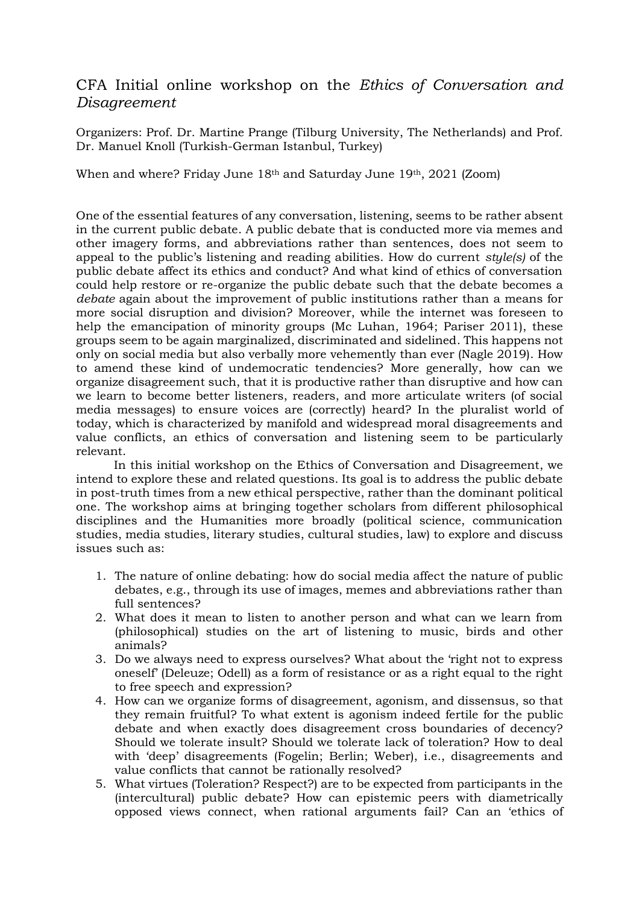## CFA Initial online workshop on the *Ethics of Conversation and Disagreement*

Organizers: Prof. Dr. Martine Prange (Tilburg University, The Netherlands) and Prof. Dr. Manuel Knoll (Turkish-German Istanbul, Turkey)

When and where? Friday June 18th and Saturday June 19th, 2021 (Zoom)

One of the essential features of any conversation, listening, seems to be rather absent in the current public debate. A public debate that is conducted more via memes and other imagery forms, and abbreviations rather than sentences, does not seem to appeal to the public's listening and reading abilities. How do current *style(s)* of the public debate affect its ethics and conduct? And what kind of ethics of conversation could help restore or re-organize the public debate such that the debate becomes a *debate* again about the improvement of public institutions rather than a means for more social disruption and division? Moreover, while the internet was foreseen to help the emancipation of minority groups (Mc Luhan, 1964; Pariser 2011), these groups seem to be again marginalized, discriminated and sidelined. This happens not only on social media but also verbally more vehemently than ever (Nagle 2019). How to amend these kind of undemocratic tendencies? More generally, how can we organize disagreement such, that it is productive rather than disruptive and how can we learn to become better listeners, readers, and more articulate writers (of social media messages) to ensure voices are (correctly) heard? In the pluralist world of today, which is characterized by manifold and widespread moral disagreements and value conflicts, an ethics of conversation and listening seem to be particularly relevant.

In this initial workshop on the Ethics of Conversation and Disagreement, we intend to explore these and related questions. Its goal is to address the public debate in post-truth times from a new ethical perspective, rather than the dominant political one. The workshop aims at bringing together scholars from different philosophical disciplines and the Humanities more broadly (political science, communication studies, media studies, literary studies, cultural studies, law) to explore and discuss issues such as:

- 1. The nature of online debating: how do social media affect the nature of public debates, e.g., through its use of images, memes and abbreviations rather than full sentences?
- 2. What does it mean to listen to another person and what can we learn from (philosophical) studies on the art of listening to music, birds and other animals?
- 3. Do we always need to express ourselves? What about the 'right not to express oneself' (Deleuze; Odell) as a form of resistance or as a right equal to the right to free speech and expression?
- 4. How can we organize forms of disagreement, agonism, and dissensus, so that they remain fruitful? To what extent is agonism indeed fertile for the public debate and when exactly does disagreement cross boundaries of decency? Should we tolerate insult? Should we tolerate lack of toleration? How to deal with 'deep' disagreements (Fogelin; Berlin; Weber), i.e., disagreements and value conflicts that cannot be rationally resolved?
- 5. What virtues (Toleration? Respect?) are to be expected from participants in the (intercultural) public debate? How can epistemic peers with diametrically opposed views connect, when rational arguments fail? Can an 'ethics of